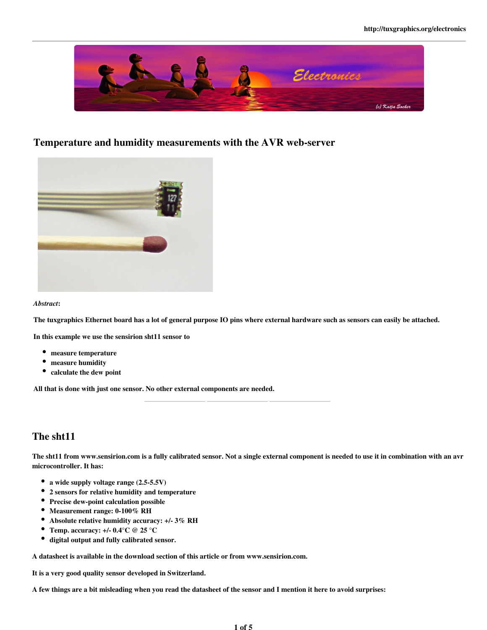

### Temperature and humidity measurements with the AVR web-server



*Abstract*:

The tuxgraphics Ethernet board has a lot of general purpose IO pins where external hardware such as sensors can easily be attached.

\_\_\_\_\_\_\_\_\_\_\_\_\_\_\_\_\_ \_\_\_\_\_\_\_\_\_\_\_\_\_\_\_\_\_ \_\_\_\_\_\_\_\_\_\_\_\_\_\_\_\_\_

In this example we use the sensirion sht11 sensor to

- measure temperature
- $\bullet$ measure humidity
- calculate the dew point

All that is done with just one sensor. No other external components are needed.

# The sht11

The sht11 from www.sensirion.com is a fully calibrated sensor. Not a single external component is needed to use it in combination with an avr microcontroller. It has:

- a wide supply voltage range (2.5-5.5V)
- $\bullet$ 2 sensors for relative humidity and temperature
- Precise dew-point calculation possible
- Measurement range: 0-100% RH
- Absolute relative humidity accuracy: +/- 3% RH
- Temp. accuracy:  $+/- 0.4$ °C @ 25 °C
- digital output and fully calibrated sensor.

A datasheet is available in the download section of this article or from www.sensirion.com.

It is a very good quality sensor developed in Switzerland.

A few things are a bit misleading when you read the datasheet of the sensor and I mention it here to avoid surprises: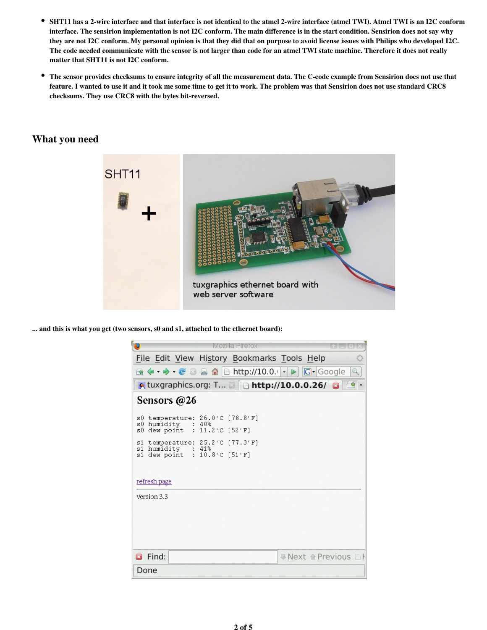- $\bullet$ SHT11 has a 2-wire interface and that interface is not identical to the atmel 2-wire interface (atmel TWI). Atmel TWI is an I2C conform interface. The sensirion implementation is not I2C conform. The main difference is in the start condition. Sensirion does not say why they are not I2C conform. My personal opinion is that they did that on purpose to avoid license issues with Philips who developed I2C. The code needed communicate with the sensor is not larger than code for an atmel TWI state machine. Therefore it does not really matter that SHT11 is not I2C conform.
- $\bullet$ The sensor provides checksums to ensure integrity of all the measurement data. The C-code example from Sensirion does not use that feature. I wanted to use it and it took me some time to get it to work. The problem was that Sensirion does not use standard CRC8 checksums. They use CRC8 with the bytes bit-reversed.

## What you need



... and this is what you get (two sensors, s0 and s1, attached to the ethernet board):

| €                                                                                                      | Mozilla Firefox                                                       |   |  |  |
|--------------------------------------------------------------------------------------------------------|-----------------------------------------------------------------------|---|--|--|
|                                                                                                        | File Edit View History Bookmarks Tools Help                           |   |  |  |
|                                                                                                        | <b>③ ← → · ● ◎ △ △</b> □ http://10.0.   - ▶   <mark>G</mark> - Google | Q |  |  |
| A tuxgraphics.org: T ■ B http://10.0.0.26/                                                             |                                                                       |   |  |  |
| Sensors @26                                                                                            |                                                                       |   |  |  |
| s0 humidity : 40%<br>s0 dew point : 11.2'C [52'F]<br>s1 humidity : 41%<br>s1 dew point : 10.8'C [51'F] | s0 temperature: 26.0'C [78.8'F]<br>s1 temperature: 25.2'C [77.3'F]    |   |  |  |
| refresh page<br>version 3.3                                                                            |                                                                       |   |  |  |
|                                                                                                        |                                                                       |   |  |  |
| <b>B</b> Find:                                                                                         | <b>■ Next 企 Previous </b>                                             |   |  |  |
| Done                                                                                                   |                                                                       |   |  |  |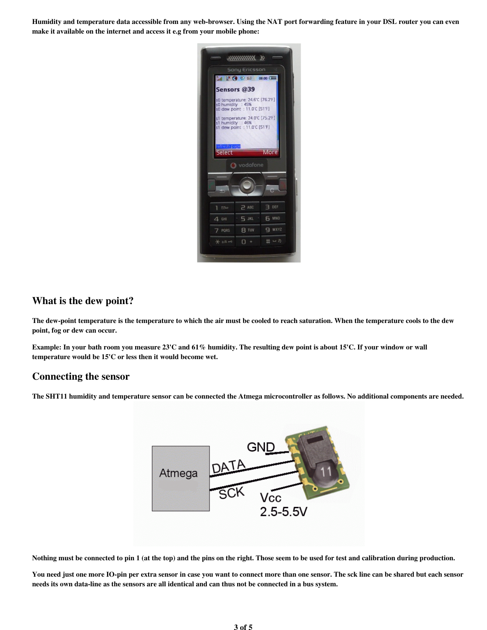Humidity and temperature data accessible from any web-browser. Using the NAT port forwarding feature in your DSL router you can even make it available on the internet and access it e.g from your mobile phone:



#### What is the dew point?

The dew-point temperature is the temperature to which the air must be cooled to reach saturation. When the temperature cools to the dew point, fog or dew can occur.

Example: In your bath room you measure 23'C and 61% humidity. The resulting dew point is about 15'C. If your window or wall temperature would be 15'C or less then it would become wet.

#### Connecting the sensor

The SHT11 humidity and temperature sensor can be connected the Atmega microcontroller as follows. No additional components are needed.



Nothing must be connected to pin 1 (at the top) and the pins on the right. Those seem to be used for test and calibration during production.

You need just one more IO-pin per extra sensor in case you want to connect more than one sensor. The sck line can be shared but each sensor needs its own data-line as the sensors are all identical and can thus not be connected in a bus system.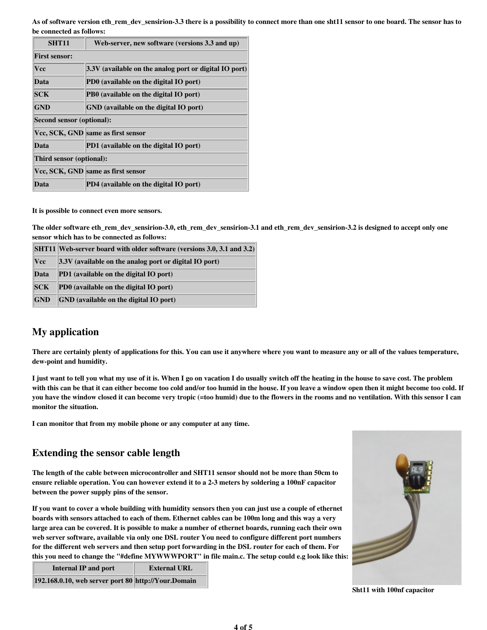As of software version eth\_rem\_dev\_sensirion-3.3 there is a possibility to connect more than one sht11 sensor to one board. The sensor has to be connected as follows:

| <b>SHT11</b>              | Web-server, new software (versions 3.3 and up)         |  |  |
|---------------------------|--------------------------------------------------------|--|--|
| <b>First sensor:</b>      |                                                        |  |  |
| Vcc                       | 3.3V (available on the analog port or digital IO port) |  |  |
| Data                      | PD0 (available on the digital IO port)                 |  |  |
| <b>SCK</b>                | PB0 (available on the digital IO port)                 |  |  |
| <b>GND</b>                | GND (available on the digital IO port)                 |  |  |
| Second sensor (optional): |                                                        |  |  |
|                           | Vcc, SCK, GND same as first sensor                     |  |  |
| Data                      | PD1 (available on the digital IO port)                 |  |  |
| Third sensor (optional):  |                                                        |  |  |
|                           | Vcc, SCK, GND same as first sensor                     |  |  |
| Data                      | PD4 (available on the digital IO port)                 |  |  |

It is possible to connect even more sensors.

The older software eth\_rem\_dev\_sensirion-3.0, eth\_rem\_dev\_sensirion-3.1 and eth\_rem\_dev\_sensirion-3.2 is designed to accept only one sensor which has to be connected as follows:

|               | <b>SHT11</b> Web-server board with older software (versions 3.0, 3.1 and 3.2) |
|---------------|-------------------------------------------------------------------------------|
| $ {\rm Vec} $ | $ 3.3V $ (available on the analog port or digital IO port)                    |
| Data          | <b>PD1</b> (available on the digital IO port)                                 |
| SCK           | PD0 (available on the digital IO port)                                        |
| <b>GND</b>    | <b>GND</b> (available on the digital IO port)                                 |

### My application

There are certainly plenty of applications for this. You can use it anywhere where you want to measure any or all of the values temperature, dew-point and humidity.

I just want to tell you what my use of it is. When I go on vacation I do usually switch off the heating in the house to save cost. The problem with this can be that it can either become too cold and/or too humid in the house. If you leave a window open then it might become too cold. If you have the window closed it can become very tropic (=too humid) due to the flowers in the rooms and no ventilation. With this sensor I can monitor the situation.

I can monitor that from my mobile phone or any computer at any time.

#### Extending the sensor cable length

The length of the cable between microcontroller and SHT11 sensor should not be more than 50cm to ensure reliable operation. You can however extend it to a 2-3 meters by soldering a 100nF capacitor between the power supply pins of the sensor.

If you want to cover a whole building with humidity sensors then you can just use a couple of ethernet boards with sensors attached to each of them. Ethernet cables can be 100m long and this way a very large area can be covered. It is possible to make a number of ethernet boards, running each their own web server software, available via only one DSL router You need to configure different port numbers for the different web servers and then setup port forwarding in the DSL router for each of them. For this you need to change the "#define MYWWWPORT" in file main.c. The setup could e.g look like this:

| Internal IP and port                                | <b>External URL</b> |
|-----------------------------------------------------|---------------------|
| 192.168.0.10, web server port 80 http://Your.Domain |                     |



Sht11 with 100nf capacitor